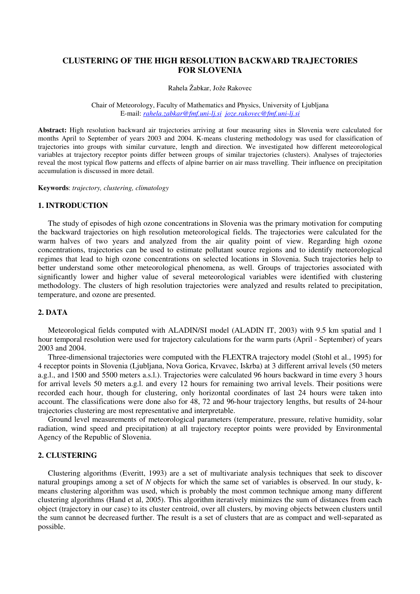# **CLUSTERING OF THE HIGH RESOLUTION BACKWARD TRAJECTORIES FOR SLOVENIA**

Rahela Žabkar, Jože Rakovec

Chair of Meteorology, Faculty of Mathematics and Physics, University of Ljubljana E-mail: *rahela.zabkar@fmf.uni-lj.si joze.rakovec@fmf.uni-lj.si*

**Abstract:** High resolution backward air trajectories arriving at four measuring sites in Slovenia were calculated for months April to September of years 2003 and 2004. K-means clustering methodology was used for classification of trajectories into groups with similar curvature, length and direction. We investigated how different meteorological variables at trajectory receptor points differ between groups of similar trajectories (clusters). Analyses of trajectories reveal the most typical flow patterns and effects of alpine barrier on air mass travelling. Their influence on precipitation accumulation is discussed in more detail.

**Keywords**: *trajectory, clustering, climatology* 

#### **1. INTRODUCTION**

The study of episodes of high ozone concentrations in Slovenia was the primary motivation for computing the backward trajectories on high resolution meteorological fields. The trajectories were calculated for the warm halves of two years and analyzed from the air quality point of view. Regarding high ozone concentrations, trajectories can be used to estimate pollutant source regions and to identify meteorological regimes that lead to high ozone concentrations on selected locations in Slovenia. Such trajectories help to better understand some other meteorological phenomena, as well. Groups of trajectories associated with significantly lower and higher value of several meteorological variables were identified with clustering methodology. The clusters of high resolution trajectories were analyzed and results related to precipitation, temperature, and ozone are presented.

## **2. DATA**

Meteorological fields computed with ALADIN/SI model (ALADIN IT, 2003) with 9.5 km spatial and 1 hour temporal resolution were used for trajectory calculations for the warm parts (April - September) of years 2003 and 2004.

Three-dimensional trajectories were computed with the FLEXTRA trajectory model (Stohl et al., 1995) for 4 receptor points in Slovenia (Ljubljana, Nova Gorica, Krvavec, Iskrba) at 3 different arrival levels (50 meters a.g.l., and 1500 and 5500 meters a.s.l.). Trajectories were calculated 96 hours backward in time every 3 hours for arrival levels 50 meters a.g.l. and every 12 hours for remaining two arrival levels. Their positions were recorded each hour, though for clustering, only horizontal coordinates of last 24 hours were taken into account. The classifications were done also for 48, 72 and 96-hour trajectory lengths, but results of 24-hour trajectories clustering are most representative and interpretable.

Ground level measurements of meteorological parameters (temperature, pressure, relative humidity, solar radiation, wind speed and precipitation) at all trajectory receptor points were provided by Environmental Agency of the Republic of Slovenia.

### **2. CLUSTERING**

Clustering algorithms (Everitt, 1993) are a set of multivariate analysis techniques that seek to discover natural groupings among a set of *N* objects for which the same set of variables is observed. In our study, kmeans clustering algorithm was used, which is probably the most common technique among many different clustering algorithms (Hand et al, 2005). This algorithm iteratively minimizes the sum of distances from each object (trajectory in our case) to its cluster centroid, over all clusters, by moving objects between clusters until the sum cannot be decreased further. The result is a set of clusters that are as compact and well-separated as possible.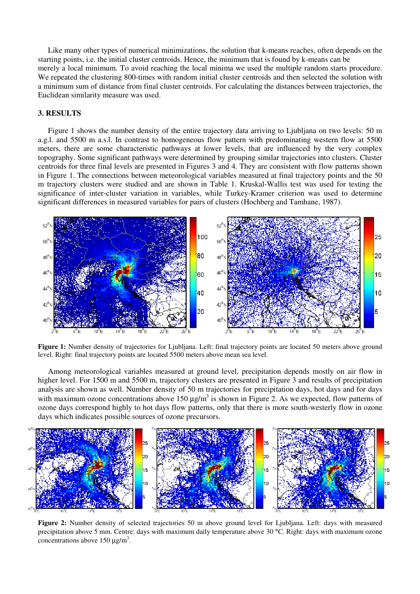Like many other types of numerical minimizations, the solution that k-means reaches, often depends on the starting points, i.e. the initial cluster centroids. Hence, the minimum that is found by k-means can be merely a local minimum. To avoid reaching the local minima we used the multiple random starts procedure. We repeated the clustering 800-times with random initial cluster centroids and then selected the solution with a minimum sum of distance from final cluster centroids. For calculating the distances between trajectories, the Euclidean similarity measure was used.

## **3. RESULTS**

Figure 1 shows the number density of the entire trajectory data arriving to Ljubljana on two levels: 50 m a.g.l. and 5500 m a.s.l. In contrast to homogeneous flow pattern with predominating western flow at 5500 meters, there are some characteristic pathways at lower levels, that are influenced by the very complex topography. Some significant pathways were determined by grouping similar trajectories into clusters. Cluster centroids for three final levels are presented in Figures 3 and 4. They are consistent with flow patterns shown in Figure 1. The connections between meteorological variables measured at final trajectory points and the 50 m trajectory clusters were studied and are shown in Table 1. Kruskal-Wallis test was used for testing the significance of inter-cluster variation in variables, while Turkey-Kramer criterion was used to determine significant differences in measured variables for pairs of clusters (Hochberg and Tamhane, 1987).



**Figure 1:** Number density of trajectories for Ljubljana. Left: final trajectory points are located 50 meters above ground level. Right: final trajectory points are located 5500 meters above mean sea level.

Among meteorological variables measured at ground level, precipitation depends mostly on air flow in higher level. For 1500 m and 5500 m, trajectory clusters are presented in Figure 3 and results of precipitation analysis are shown as well. Number density of 50 m trajectories for precipitation days, hot days and for days with maximum ozone concentrations above 150  $\mu$ g/m<sup>3</sup> is shown in Figure 2. As we expected, flow patterns of ozone days correspond highly to hot days flow patterns, only that there is more south-westerly flow in ozone days which indicates possible sources of ozone precursors.



**Figure 2:** Number density of selected trajectories 50 m above ground level for Ljubliana. Left: days with measured precipitation above 5 mm. Centre: days with maximum daily temperature above 30 °C. Right: days with maximum ozone concentrations above 150  $\mu$ g/m<sup>3</sup>.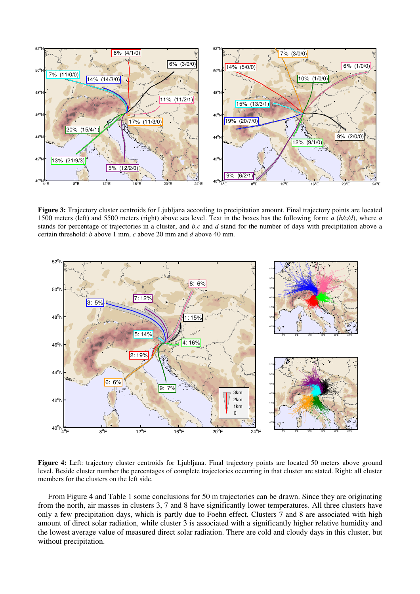

**Figure 3:** Trajectory cluster centroids for Ljubljana according to precipitation amount. Final trajectory points are located 1500 meters (left) and 5500 meters (right) above sea level. Text in the boxes has the following form: *a* (*b/c/d*), where *a* stands for percentage of trajectories in a cluster, and *b,c* and *d* stand for the number of days with precipitation above a certain threshold: *b* above 1 mm, *c* above 20 mm and *d* above 40 mm.



**Figure 4:** Left: trajectory cluster centroids for Ljubljana. Final trajectory points are located 50 meters above ground level. Beside cluster number the percentages of complete trajectories occurring in that cluster are stated. Right: all cluster members for the clusters on the left side.

From Figure 4 and Table 1 some conclusions for 50 m trajectories can be drawn. Since they are originating from the north, air masses in clusters 3, 7 and 8 have significantly lower temperatures. All three clusters have only a few precipitation days, which is partly due to Foehn effect. Clusters 7 and 8 are associated with high amount of direct solar radiation, while cluster 3 is associated with a significantly higher relative humidity and the lowest average value of measured direct solar radiation. There are cold and cloudy days in this cluster, but without precipitation.